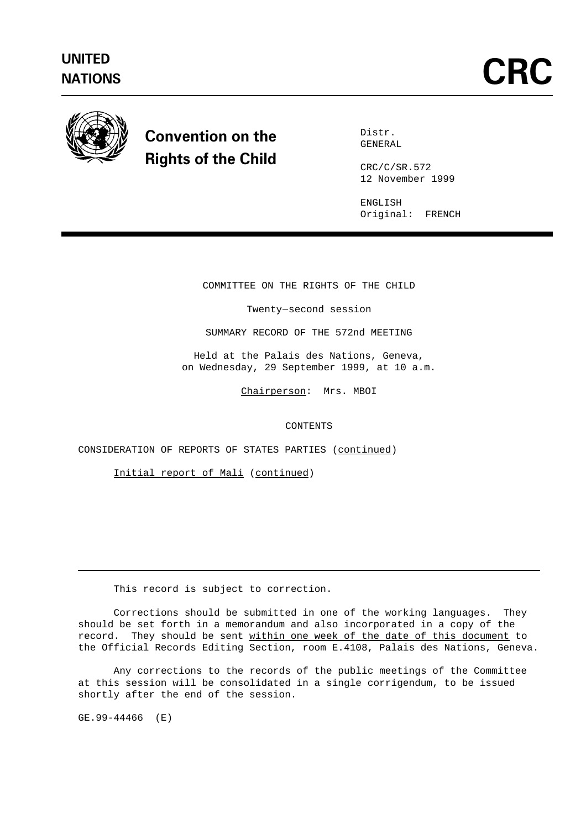

## Convention on the Rights of the Child

Distr. GENERAL

CRC/C/SR.572 12 November 1999

ENGLISH Original: FRENCH

COMMITTEE ON THE RIGHTS OF THE CHILD E ON THE RIGHTS OF TH<br>Twenty-second session

SUMMARY RECORD OF THE 572nd MEETING

Held at the Palais des Nations, Geneva, on Wednesday, 29 September 1999, at 10 a.m.

Chairperson: Mrs. MBOI

CONTENTS

CONSIDERATION OF REPORTS OF STATES PARTIES (continued)

Initial report of Mali (continued)

This record is subject to correction.

Corrections should be submitted in one of the working languages. They should be set forth in a memorandum and also incorporated in a copy of the record. They should be sent within one week of the date of this document to the Official Records Editing Section, room E.4108, Palais des Nations, Geneva.

Any corrections to the records of the public meetings of the Committee at this session will be consolidated in a single corrigendum, to be issued shortly after the end of the session.

GE.99-44466 (E)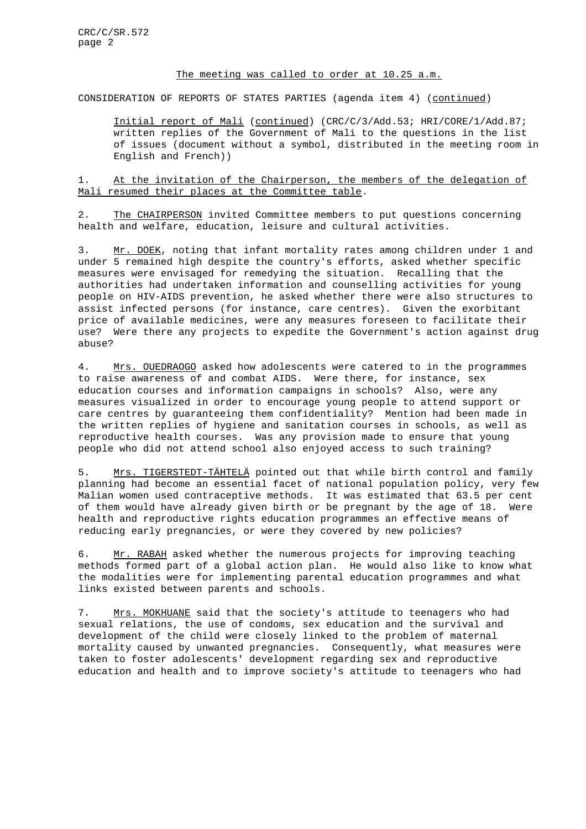## The meeting was called to order at 10.25 a.m.

CONSIDERATION OF REPORTS OF STATES PARTIES (agenda item 4) (continued)

Initial report of Mali (continued) (CRC/C/3/Add.53; HRI/CORE/1/Add.87; written replies of the Government of Mali to the questions in the list of issues (document without a symbol, distributed in the meeting room in English and French))

1. At the invitation of the Chairperson, the members of the delegation of Mali resumed their places at the Committee table.

2. The CHAIRPERSON invited Committee members to put questions concerning health and welfare, education, leisure and cultural activities.

3. Mr. DOEK, noting that infant mortality rates among children under 1 and under 5 remained high despite the country's efforts, asked whether specific measures were envisaged for remedying the situation. Recalling that the authorities had undertaken information and counselling activities for young people on HIV-AIDS prevention, he asked whether there were also structures to assist infected persons (for instance, care centres). Given the exorbitant price of available medicines, were any measures foreseen to facilitate their use? Were there any projects to expedite the Government's action against drug abuse?

4. Mrs. OUEDRAOGO asked how adolescents were catered to in the programmes to raise awareness of and combat AIDS. Were there, for instance, sex education courses and information campaigns in schools? Also, were any measures visualized in order to encourage young people to attend support or care centres by guaranteeing them confidentiality? Mention had been made in the written replies of hygiene and sanitation courses in schools, as well as reproductive health courses. Was any provision made to ensure that young people who did not attend school also enjoyed access to such training?

5. Mrs. TIGERSTEDT-TÄHTELÄ pointed out that while birth control and family planning had become an essential facet of national population policy, very few Malian women used contraceptive methods. It was estimated that 63.5 per cent of them would have already given birth or be pregnant by the age of 18. Were health and reproductive rights education programmes an effective means of reducing early pregnancies, or were they covered by new policies?

6. Mr. RABAH asked whether the numerous projects for improving teaching methods formed part of a global action plan. He would also like to know what the modalities were for implementing parental education programmes and what links existed between parents and schools.

7. Mrs. MOKHUANE said that the society's attitude to teenagers who had sexual relations, the use of condoms, sex education and the survival and development of the child were closely linked to the problem of maternal mortality caused by unwanted pregnancies. Consequently, what measures were taken to foster adolescents' development regarding sex and reproductive education and health and to improve society's attitude to teenagers who had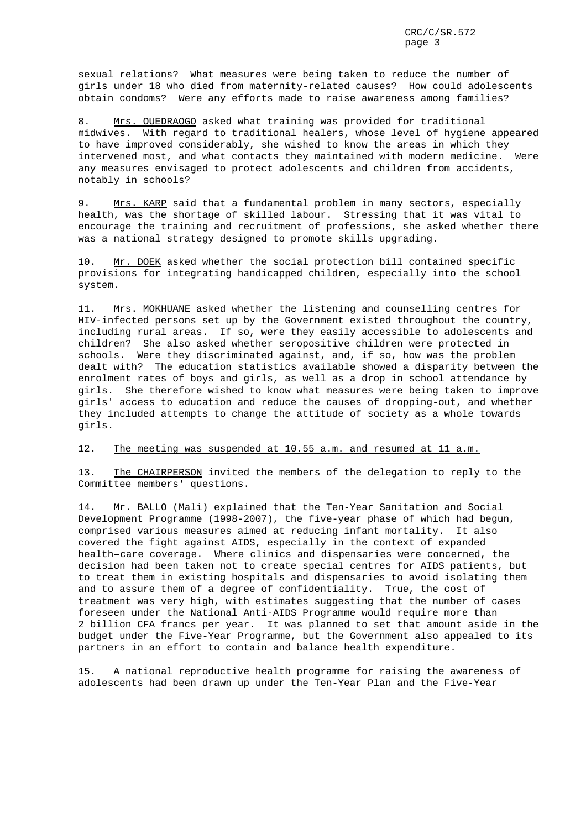sexual relations? What measures were being taken to reduce the number of girls under 18 who died from maternity-related causes? How could adolescents obtain condoms? Were any efforts made to raise awareness among families?

8. Mrs. OUEDRAOGO asked what training was provided for traditional midwives. With regard to traditional healers, whose level of hygiene appeared to have improved considerably, she wished to know the areas in which they intervened most, and what contacts they maintained with modern medicine. Were any measures envisaged to protect adolescents and children from accidents, notably in schools?

9. Mrs. KARP said that a fundamental problem in many sectors, especially health, was the shortage of skilled labour. Stressing that it was vital to encourage the training and recruitment of professions, she asked whether there was a national strategy designed to promote skills upgrading.

10. Mr. DOEK asked whether the social protection bill contained specific provisions for integrating handicapped children, especially into the school system.

11. Mrs. MOKHUANE asked whether the listening and counselling centres for HIV-infected persons set up by the Government existed throughout the country, including rural areas. If so, were they easily accessible to adolescents and children? She also asked whether seropositive children were protected in schools. Were they discriminated against, and, if so, how was the problem dealt with? The education statistics available showed a disparity between the enrolment rates of boys and girls, as well as a drop in school attendance by girls. She therefore wished to know what measures were being taken to improve girls' access to education and reduce the causes of dropping-out, and whether they included attempts to change the attitude of society as a whole towards girls.

## 12. The meeting was suspended at 10.55 a.m. and resumed at 11 a.m.

13. The CHAIRPERSON invited the members of the delegation to reply to the Committee members' questions.

14. Mr. BALLO (Mali) explained that the Ten-Year Sanitation and Social Development Programme (1998-2007), the five-year phase of which had begun, comprised various measures aimed at reducing infant mortality. It also covered the fight against AIDS, especially in the context of expanded Development Programme (1998-2007), the five-year phase of which had begun<br>comprised various measures aimed at reducing infant mortality. It also<br>covered the fight against AIDS, especially in the context of expanded<br>healthdecision had been taken not to create special centres for AIDS patients, but to treat them in existing hospitals and dispensaries to avoid isolating them and to assure them of a degree of confidentiality. True, the cost of treatment was very high, with estimates suggesting that the number of cases foreseen under the National Anti-AIDS Programme would require more than 2 billion CFA francs per year. It was planned to set that amount aside in the budget under the Five-Year Programme, but the Government also appealed to its partners in an effort to contain and balance health expenditure.

15. A national reproductive health programme for raising the awareness of adolescents had been drawn up under the Ten-Year Plan and the Five-Year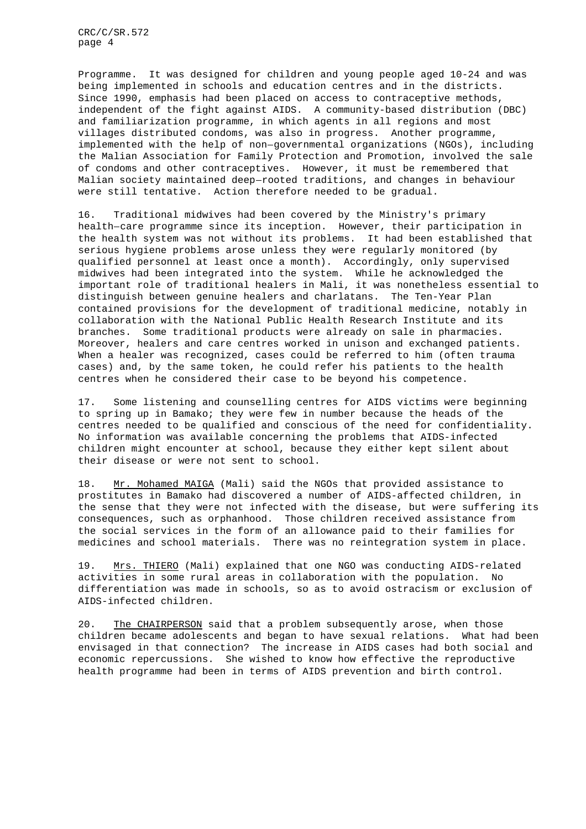CRC/C/SR.572 page 4

Programme. It was designed for children and young people aged 10-24 and was being implemented in schools and education centres and in the districts. Since 1990, emphasis had been placed on access to contraceptive methods, independent of the fight against AIDS. A community-based distribution (DBC) and familiarization programme, in which agents in all regions and most villages distributed condoms, was also in progress. Another programme, implemented with the help of non-governmental organizations (NGOs), including the Malian Association for Family Protection and Promotion, involved the sale of condoms and other contraceptives. However, it must be remembered that Malian society maintained deep-rooted traditions, and changes in behaviour were still tentative. Action therefore needed to be gradual.

16. Traditional midwives had been covered by the Ministry's primary health-care programme since its inception. However, their participation in the health system was not without its problems. It had been established that serious hygiene problems arose unless they were regularly monitored (by qualified personnel at least once a month). Accordingly, only supervised midwives had been integrated into the system. While he acknowledged the important role of traditional healers in Mali, it was nonetheless essential to distinguish between genuine healers and charlatans. The Ten-Year Plan contained provisions for the development of traditional medicine, notably in collaboration with the National Public Health Research Institute and its branches. Some traditional products were already on sale in pharmacies. Moreover, healers and care centres worked in unison and exchanged patients. When a healer was recognized, cases could be referred to him (often trauma cases) and, by the same token, he could refer his patients to the health centres when he considered their case to be beyond his competence.

17. Some listening and counselling centres for AIDS victims were beginning to spring up in Bamako; they were few in number because the heads of the centres needed to be qualified and conscious of the need for confidentiality. No information was available concerning the problems that AIDS-infected children might encounter at school, because they either kept silent about their disease or were not sent to school.

18. Mr. Mohamed MAIGA (Mali) said the NGOs that provided assistance to prostitutes in Bamako had discovered a number of AIDS-affected children, in the sense that they were not infected with the disease, but were suffering its consequences, such as orphanhood. Those children received assistance from the social services in the form of an allowance paid to their families for medicines and school materials. There was no reintegration system in place.

19. Mrs. THIERO (Mali) explained that one NGO was conducting AIDS-related activities in some rural areas in collaboration with the population. No differentiation was made in schools, so as to avoid ostracism or exclusion of AIDS-infected children.

20. The CHAIRPERSON said that a problem subsequently arose, when those children became adolescents and began to have sexual relations. What had been envisaged in that connection? The increase in AIDS cases had both social and economic repercussions. She wished to know how effective the reproductive health programme had been in terms of AIDS prevention and birth control.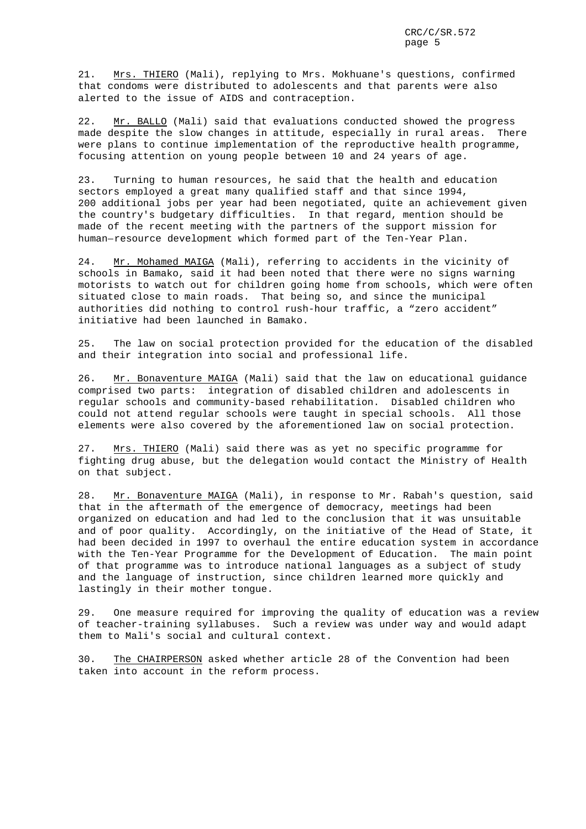21. Mrs. THIERO (Mali), replying to Mrs. Mokhuane's questions, confirmed that condoms were distributed to adolescents and that parents were also alerted to the issue of AIDS and contraception.

22. Mr. BALLO (Mali) said that evaluations conducted showed the progress made despite the slow changes in attitude, especially in rural areas. There were plans to continue implementation of the reproductive health programme, focusing attention on young people between 10 and 24 years of age.

23. Turning to human resources, he said that the health and education sectors employed a great many qualified staff and that since 1994, 200 additional jobs per year had been negotiated, quite an achievement given the country's budgetary difficulties. In that regard, mention should be made of the recent meeting with the partners of the support mission for zou additional jobs per year had been hegotiated, quite an achieve<br>the country's budgetary difficulties. In that regard, mention sho<br>made of the recent meeting with the partners of the support missio<br>human-resource develop

24. Mr. Mohamed MAIGA (Mali), referring to accidents in the vicinity of schools in Bamako, said it had been noted that there were no signs warning motorists to watch out for children going home from schools, which were often situated close to main roads. That being so, and since the municipal authorities did nothing to control rush-hour traffic, a "zero accident" initiative had been launched in Bamako.

25. The law on social protection provided for the education of the disabled and their integration into social and professional life.

26. Mr. Bonaventure MAIGA (Mali) said that the law on educational guidance comprised two parts: integration of disabled children and adolescents in regular schools and community-based rehabilitation. Disabled children who could not attend regular schools were taught in special schools. All those elements were also covered by the aforementioned law on social protection.

27. Mrs. THIERO (Mali) said there was as yet no specific programme for fighting drug abuse, but the delegation would contact the Ministry of Health on that subject.

28. Mr. Bonaventure MAIGA (Mali), in response to Mr. Rabah's question, said that in the aftermath of the emergence of democracy, meetings had been organized on education and had led to the conclusion that it was unsuitable and of poor quality. Accordingly, on the initiative of the Head of State, it had been decided in 1997 to overhaul the entire education system in accordance with the Ten-Year Programme for the Development of Education. The main point of that programme was to introduce national languages as a subject of study and the language of instruction, since children learned more quickly and lastingly in their mother tongue.

29. One measure required for improving the quality of education was a review of teacher-training syllabuses. Such a review was under way and would adapt them to Mali's social and cultural context.

30. The CHAIRPERSON asked whether article 28 of the Convention had been taken into account in the reform process.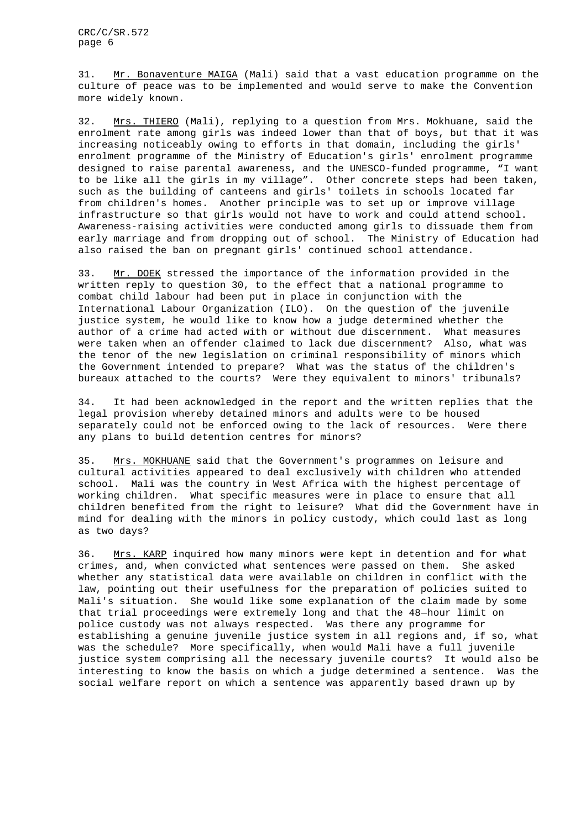31. Mr. Bonaventure MAIGA (Mali) said that a vast education programme on the culture of peace was to be implemented and would serve to make the Convention more widely known.

32. Mrs. THIERO (Mali), replying to a question from Mrs. Mokhuane, said the enrolment rate among girls was indeed lower than that of boys, but that it was increasing noticeably owing to efforts in that domain, including the girls' enrolment programme of the Ministry of Education's girls' enrolment programme designed to raise parental awareness, and the UNESCO-funded programme, "I want to be like all the girls in my village". Other concrete steps had been taken, such as the building of canteens and girls' toilets in schools located far from children's homes. Another principle was to set up or improve village infrastructure so that girls would not have to work and could attend school. Awareness-raising activities were conducted among girls to dissuade them from early marriage and from dropping out of school. The Ministry of Education had also raised the ban on pregnant girls' continued school attendance.

33. Mr. DOEK stressed the importance of the information provided in the written reply to question 30, to the effect that a national programme to combat child labour had been put in place in conjunction with the International Labour Organization (ILO). On the question of the juvenile justice system, he would like to know how a judge determined whether the author of a crime had acted with or without due discernment. What measures were taken when an offender claimed to lack due discernment? Also, what was the tenor of the new legislation on criminal responsibility of minors which the Government intended to prepare? What was the status of the children's bureaux attached to the courts? Were they equivalent to minors' tribunals?

34. It had been acknowledged in the report and the written replies that the legal provision whereby detained minors and adults were to be housed separately could not be enforced owing to the lack of resources. Were there any plans to build detention centres for minors?

35. Mrs. MOKHUANE said that the Government's programmes on leisure and cultural activities appeared to deal exclusively with children who attended school. Mali was the country in West Africa with the highest percentage of working children. What specific measures were in place to ensure that all children benefited from the right to leisure? What did the Government have in mind for dealing with the minors in policy custody, which could last as long as two days?

36. Mrs. KARP inquired how many minors were kept in detention and for what crimes, and, when convicted what sentences were passed on them. She asked whether any statistical data were available on children in conflict with the law, pointing out their usefulness for the preparation of policies suited to Mali's situation. She would like some explanation of the claim made by some whether any statistical data were available on children in conflict with<br>law, pointing out their usefulness for the preparation of policies suite<br>Mali's situation. She would like some explanation of the claim made by<br>that police custody was not always respected. Was there any programme for establishing a genuine juvenile justice system in all regions and, if so, what was the schedule? More specifically, when would Mali have a full juvenile justice system comprising all the necessary juvenile courts? It would also be interesting to know the basis on which a judge determined a sentence. Was the social welfare report on which a sentence was apparently based drawn up by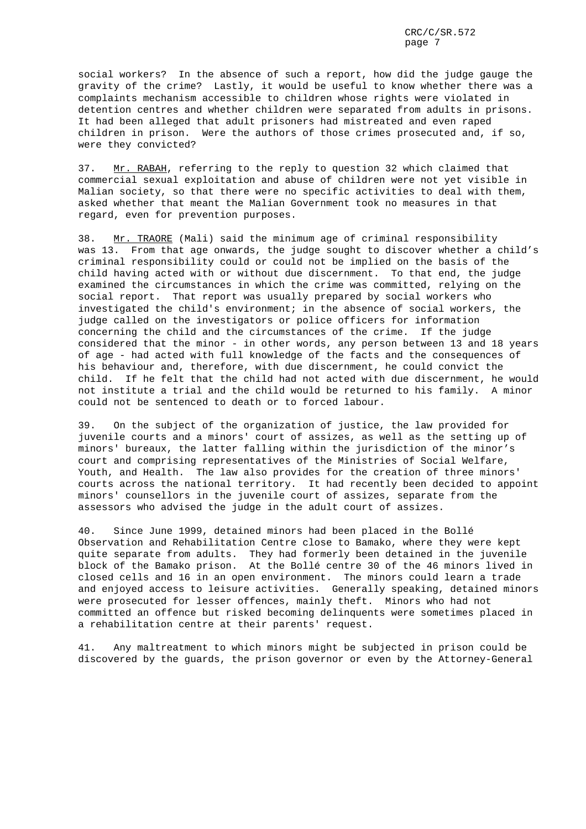social workers? In the absence of such a report, how did the judge gauge the gravity of the crime? Lastly, it would be useful to know whether there was a complaints mechanism accessible to children whose rights were violated in detention centres and whether children were separated from adults in prisons. It had been alleged that adult prisoners had mistreated and even raped children in prison. Were the authors of those crimes prosecuted and, if so, were they convicted?

37. Mr. RABAH, referring to the reply to question 32 which claimed that commercial sexual exploitation and abuse of children were not yet visible in Malian society, so that there were no specific activities to deal with them, asked whether that meant the Malian Government took no measures in that regard, even for prevention purposes.

38. Mr. TRAORE (Mali) said the minimum age of criminal responsibility was 13. From that age onwards, the judge sought to discover whether a child's criminal responsibility could or could not be implied on the basis of the child having acted with or without due discernment. To that end, the judge examined the circumstances in which the crime was committed, relying on the social report. That report was usually prepared by social workers who investigated the child's environment; in the absence of social workers, the judge called on the investigators or police officers for information concerning the child and the circumstances of the crime. If the judge considered that the minor - in other words, any person between 13 and 18 years of age - had acted with full knowledge of the facts and the consequences of his behaviour and, therefore, with due discernment, he could convict the child. If he felt that the child had not acted with due discernment, he would not institute a trial and the child would be returned to his family. A minor could not be sentenced to death or to forced labour.

39. On the subject of the organization of justice, the law provided for juvenile courts and a minors' court of assizes, as well as the setting up of minors' bureaux, the latter falling within the jurisdiction of the minor's court and comprising representatives of the Ministries of Social Welfare, Youth, and Health. The law also provides for the creation of three minors' courts across the national territory. It had recently been decided to appoint minors' counsellors in the juvenile court of assizes, separate from the assessors who advised the judge in the adult court of assizes.

40. Since June 1999, detained minors had been placed in the Bollé Observation and Rehabilitation Centre close to Bamako, where they were kept quite separate from adults. They had formerly been detained in the juvenile block of the Bamako prison. At the Bollé centre 30 of the 46 minors lived in closed cells and 16 in an open environment. The minors could learn a trade and enjoyed access to leisure activities. Generally speaking, detained minors were prosecuted for lesser offences, mainly theft. Minors who had not committed an offence but risked becoming delinquents were sometimes placed in a rehabilitation centre at their parents' request.

41. Any maltreatment to which minors might be subjected in prison could be discovered by the guards, the prison governor or even by the Attorney-General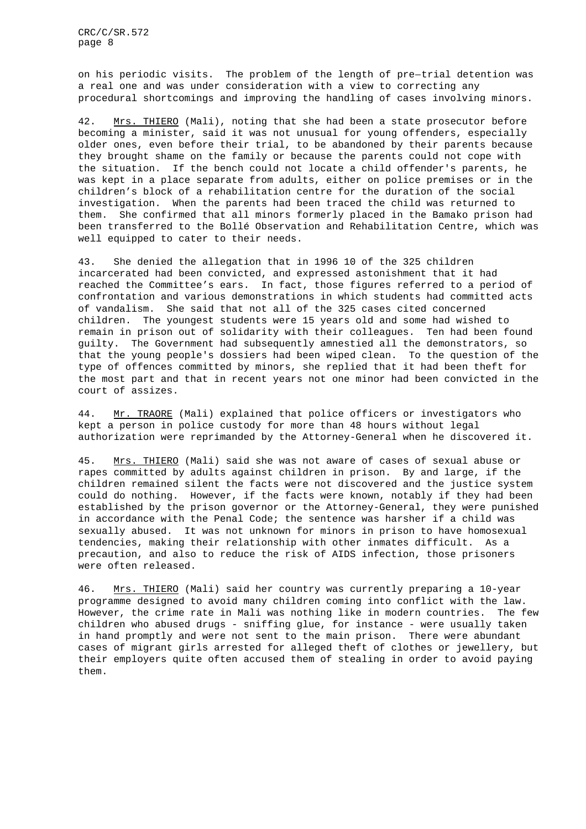on his periodic visits. The problem of the length of pre-trial detention was a real one and was under consideration with a view to correcting any procedural shortcomings and improving the handling of cases involving minors.

42. Mrs. THIERO (Mali), noting that she had been a state prosecutor before becoming a minister, said it was not unusual for young offenders, especially older ones, even before their trial, to be abandoned by their parents because they brought shame on the family or because the parents could not cope with the situation. If the bench could not locate a child offender's parents, he was kept in a place separate from adults, either on police premises or in the children's block of a rehabilitation centre for the duration of the social investigation. When the parents had been traced the child was returned to them. She confirmed that all minors formerly placed in the Bamako prison had been transferred to the Bollé Observation and Rehabilitation Centre, which was well equipped to cater to their needs.

43. She denied the allegation that in 1996 10 of the 325 children incarcerated had been convicted, and expressed astonishment that it had reached the Committee's ears. In fact, those figures referred to a period of confrontation and various demonstrations in which students had committed acts of vandalism. She said that not all of the 325 cases cited concerned children. The youngest students were 15 years old and some had wished to remain in prison out of solidarity with their colleagues. Ten had been found guilty. The Government had subsequently amnestied all the demonstrators, so that the young people's dossiers had been wiped clean. To the question of the type of offences committed by minors, she replied that it had been theft for the most part and that in recent years not one minor had been convicted in the court of assizes.

44. Mr. TRAORE (Mali) explained that police officers or investigators who kept a person in police custody for more than 48 hours without legal authorization were reprimanded by the Attorney-General when he discovered it.

45. Mrs. THIERO (Mali) said she was not aware of cases of sexual abuse or rapes committed by adults against children in prison. By and large, if the children remained silent the facts were not discovered and the justice system could do nothing. However, if the facts were known, notably if they had been established by the prison governor or the Attorney-General, they were punished in accordance with the Penal Code; the sentence was harsher if a child was sexually abused. It was not unknown for minors in prison to have homosexual tendencies, making their relationship with other inmates difficult. As a precaution, and also to reduce the risk of AIDS infection, those prisoners were often released.

46. Mrs. THIERO (Mali) said her country was currently preparing a 10-year programme designed to avoid many children coming into conflict with the law. However, the crime rate in Mali was nothing like in modern countries. The few children who abused drugs - sniffing glue, for instance - were usually taken in hand promptly and were not sent to the main prison. There were abundant cases of migrant girls arrested for alleged theft of clothes or jewellery, but their employers quite often accused them of stealing in order to avoid paying them.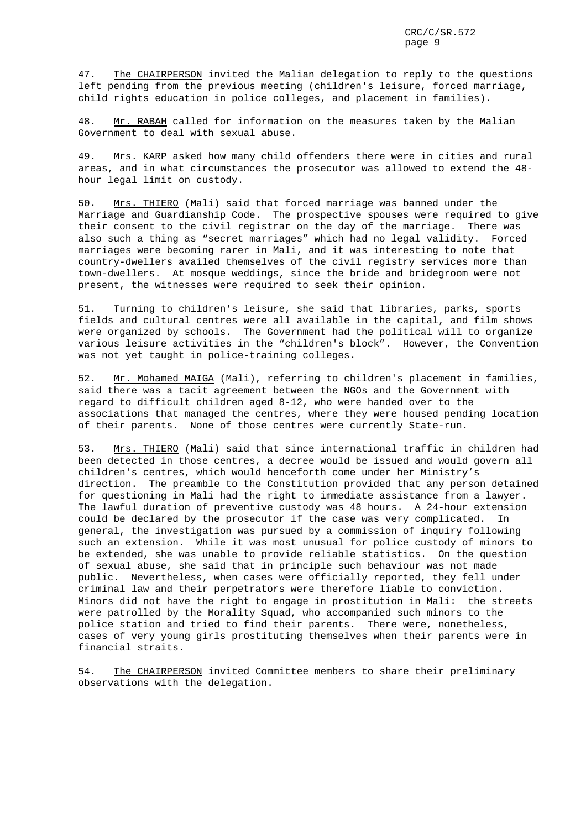47. The CHAIRPERSON invited the Malian delegation to reply to the questions left pending from the previous meeting (children's leisure, forced marriage, child rights education in police colleges, and placement in families).

48. Mr. RABAH called for information on the measures taken by the Malian Government to deal with sexual abuse.

49. Mrs. KARP asked how many child offenders there were in cities and rural areas, and in what circumstances the prosecutor was allowed to extend the 48 hour legal limit on custody.

50. Mrs. THIERO (Mali) said that forced marriage was banned under the Marriage and Guardianship Code. The prospective spouses were required to give their consent to the civil registrar on the day of the marriage. There was also such a thing as "secret marriages" which had no legal validity. Forced marriages were becoming rarer in Mali, and it was interesting to note that country-dwellers availed themselves of the civil registry services more than town-dwellers. At mosque weddings, since the bride and bridegroom were not present, the witnesses were required to seek their opinion.

51. Turning to children's leisure, she said that libraries, parks, sports fields and cultural centres were all available in the capital, and film shows were organized by schools. The Government had the political will to organize various leisure activities in the "children's block". However, the Convention was not yet taught in police-training colleges.

52. Mr. Mohamed MAIGA (Mali), referring to children's placement in families, said there was a tacit agreement between the NGOs and the Government with regard to difficult children aged 8-12, who were handed over to the associations that managed the centres, where they were housed pending location of their parents. None of those centres were currently State-run.

53. Mrs. THIERO (Mali) said that since international traffic in children had been detected in those centres, a decree would be issued and would govern all children's centres, which would henceforth come under her Ministry's direction. The preamble to the Constitution provided that any person detained for questioning in Mali had the right to immediate assistance from a lawyer. The lawful duration of preventive custody was 48 hours. A 24-hour extension could be declared by the prosecutor if the case was very complicated. In general, the investigation was pursued by a commission of inquiry following such an extension. While it was most unusual for police custody of minors to be extended, she was unable to provide reliable statistics. On the question of sexual abuse, she said that in principle such behaviour was not made public. Nevertheless, when cases were officially reported, they fell under criminal law and their perpetrators were therefore liable to conviction. Minors did not have the right to engage in prostitution in Mali: the streets were patrolled by the Morality Squad, who accompanied such minors to the police station and tried to find their parents. There were, nonetheless, cases of very young girls prostituting themselves when their parents were in financial straits.

54. The CHAIRPERSON invited Committee members to share their preliminary observations with the delegation.